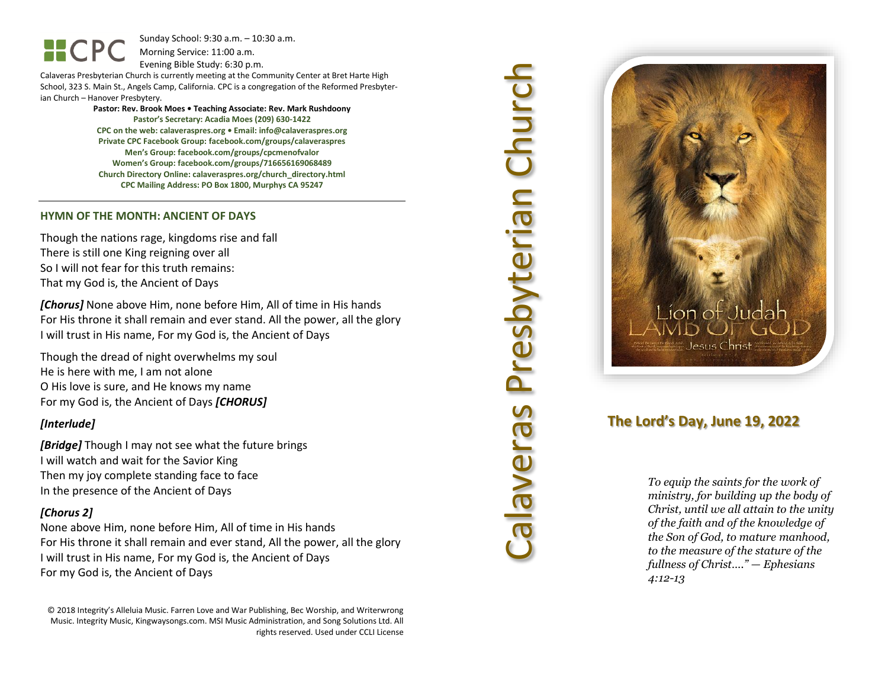Sunday School: 9: 3 0 a.m. – 10:30 a.m. Morning Service: 1 1 :00 a.m.

Evening Bible Study: 6: 30 p.m.

Calaveras Presbyterian Church is currently meeting at the Community Center at Bret Harte High School, 323 S. Main St., Angels Camp, California. CPC is a congregation of the Reformed Presbyterian Church – Hanover Presbytery.

> **Pastor: Rev. Brook Moes • Teaching Associate: Rev. Mark Rushdoony Pastor's Secretary: Acadia Moes (209) 630 -1422 CPC on the web: calaveraspres.org • Email: [info@calaveraspres.org](mailto:info@calaveraspres.org) Private CPC Facebook Group: facebook.com/groups/calaveraspres Men's Group: facebook.com/groups/cpcmenofvalor Women's Group: facebook.com/groups/716656169068489 Church Directory Online: calaveraspres.org/church \_directory.html CPC Mailing Address: PO Box 1800, Murphys CA 95247**

### **HYMN OF THE MONTH : ANCIENT OF DAY S**

Though the nations rage, kingdoms rise and fall There is still one King reigning over all So I will not fear for this truth remains: That my God is, the Ancient of Days

*[Chorus]* None above Him, none before Him, All of time in His hands For His throne it shall remain and ever stand. All the power, all the glory I will trust in His name, For my God is, the Ancient of Days

Though the dread of night overwhelms my soul He is here with me, I am not alone O His love is sure, and He knows my name For my God is, the Ancient of Days *[CHORUS]*

## *[Interlude]*

*[Bridge]* Though I may not see what the future brings I will watch and wait for the Savior King Then my joy complete standing face to face In the presence of the Ancient of Days

## *[Chorus 2]*

None above Him, none before Him, All of time in His hands For His throne it shall remain and ever stand, All the power, all the glory I will trust in His name, For my God is, the Ancient of Days For my God is, the Ancient of Days

© 2018 Integrity's Alleluia Music. Farren Love and War Publishing, Bec Worship, and Writerwrong Music. Integrity Music, Kingwaysongs.com. MSI Music Administration, and Song Solutions Ltd. All rights reserved. Used under CCLI License



## **The Lord's Day, June 1 9, 202 2**

*To equip the saints for the work of ministry, for building up the body of Christ, until we all attain to the unity of the faith and of the knowledge of the Son of God, to mature manhood, to the measure of the stature of the fullness of Christ…." — Ephesians 4:12 -13*